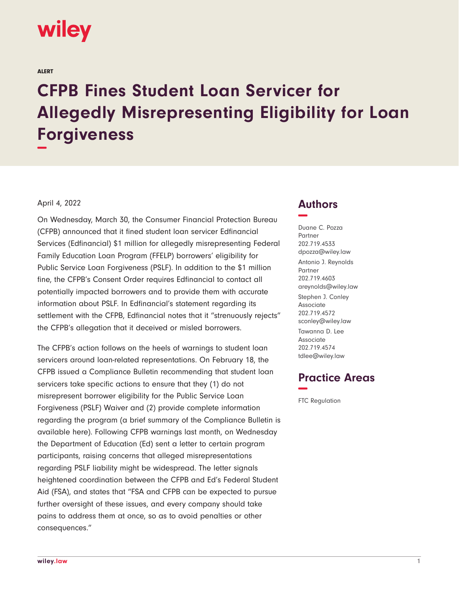

ALERT

# **CFPB Fines Student Loan Servicer for Allegedly Misrepresenting Eligibility for Loan Forgiveness −**

#### April 4, 2022

On Wednesday, March 30, the Consumer Financial Protection Bureau (CFPB) announced that it fined student loan servicer Edfinancial Services (Edfinancial) \$1 million for allegedly misrepresenting Federal Family Education Loan Program (FFELP) borrowers' eligibility for Public Service Loan Forgiveness (PSLF). In addition to the \$1 million fine, the CFPB's Consent Order requires Edfinancial to contact all potentially impacted borrowers and to provide them with accurate information about PSLF. In Edfinancial's statement regarding its settlement with the CFPB, Edfinancial notes that it "strenuously rejects" the CFPB's allegation that it deceived or misled borrowers.

The CFPB's action follows on the heels of warnings to student loan servicers around loan-related representations. On February 18, the CFPB issued a Compliance Bulletin recommending that student loan servicers take specific actions to ensure that they (1) do not misrepresent borrower eligibility for the Public Service Loan Forgiveness (PSLF) Waiver and (2) provide complete information regarding the program (a brief summary of the Compliance Bulletin is available here). Following CFPB warnings last month, on Wednesday the Department of Education (Ed) sent a letter to certain program participants, raising concerns that alleged misrepresentations regarding PSLF liability might be widespread. The letter signals heightened coordination between the CFPB and Ed's Federal Student Aid (FSA), and states that "FSA and CFPB can be expected to pursue further oversight of these issues, and every company should take pains to address them at once, so as to avoid penalties or other consequences."

## **Authors −**

Duane C. Pozza Partner 202.719.4533 dpozza@wiley.law Antonio J. Reynolds Partner 202.719.4603 areynolds@wiley.law Stephen J. Conley Associate 202.719.4572 sconley@wiley.law Tawanna D. Lee Associate 202.719.4574 tdlee@wiley.law

## **Practice Areas −**

FTC Regulation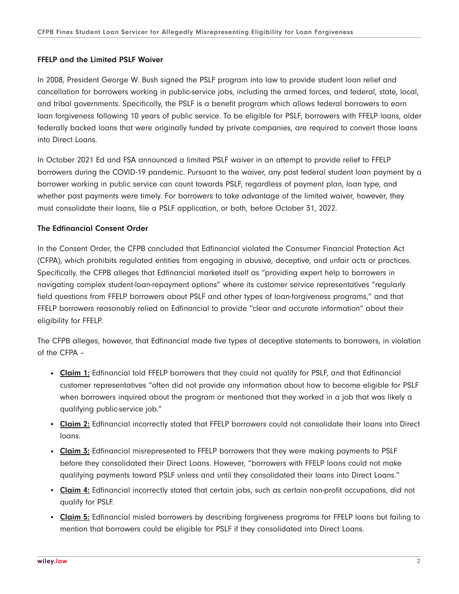#### **FFELP and the Limited PSLF Waiver**

In 2008, President George W. Bush signed the PSLF program into law to provide student loan relief and cancellation for borrowers working in public-service jobs, including the armed forces, and federal, state, local, and tribal governments. Specifically, the PSLF is a benefit program which allows federal borrowers to earn loan forgiveness following 10 years of public service. To be eligible for PSLF, borrowers with FFELP loans, older federally backed loans that were originally funded by private companies, are required to convert those loans into Direct Loans.

In October 2021 Ed and FSA announced a limited PSLF waiver in an attempt to provide relief to FFELP borrowers during the COVID-19 pandemic. Pursuant to the waiver, any past federal student loan payment by a borrower working in public service can count towards PSLF, regardless of payment plan, loan type, and whether past payments were timely. For borrowers to take advantage of the limited waiver, however, they must consolidate their loans, file a PSLF application, or both, before October 31, 2022.

## **The Edfinancial Consent Order**

In the Consent Order, the CFPB concluded that Edfinancial violated the Consumer Financial Protection Act (CFPA), which prohibits regulated entities from engaging in abusive, deceptive, and unfair acts or practices. Specifically, the CFPB alleges that Edfinancial marketed itself as "providing expert help to borrowers in navigating complex student-loan-repayment options" where its customer service representatives "regularly field questions from FFELP borrowers about PSLF and other types of loan-forgiveness programs," and that FFELP borrowers reasonably relied on Edfinancial to provide "clear and accurate information" about their eligibility for FFELP.

The CFPB alleges, however, that Edfinancial made five types of deceptive statements to borrowers, in violation of the CFPA –

- **Claim 1:** Edfinancial told FFELP borrowers that they could not qualify for PSLF, and that Edfinancial customer representatives "often did not provide any information about how to become eligible for PSLF when borrowers inquired about the program or mentioned that they worked in a job that was likely a qualifying public-service job."
- **Claim 2:** Edfinancial incorrectly stated that FFELP borrowers could not consolidate their loans into Direct loans.
- Claim 3: Edfinancial misrepresented to FFELP borrowers that they were making payments to PSLF before they consolidated their Direct Loans. However, "borrowers with FFELP loans could not make qualifying payments toward PSLF unless and until they consolidated their loans into Direct Loans."
- Claim 4: Edfinancial incorrectly stated that certain jobs, such as certain non-profit occupations, did not qualify for PSLF.
- **Claim 5:** Edfinancial misled borrowers by describing forgiveness programs for FFELP loans but failing to mention that borrowers could be eligible for PSLF if they consolidated into Direct Loans.